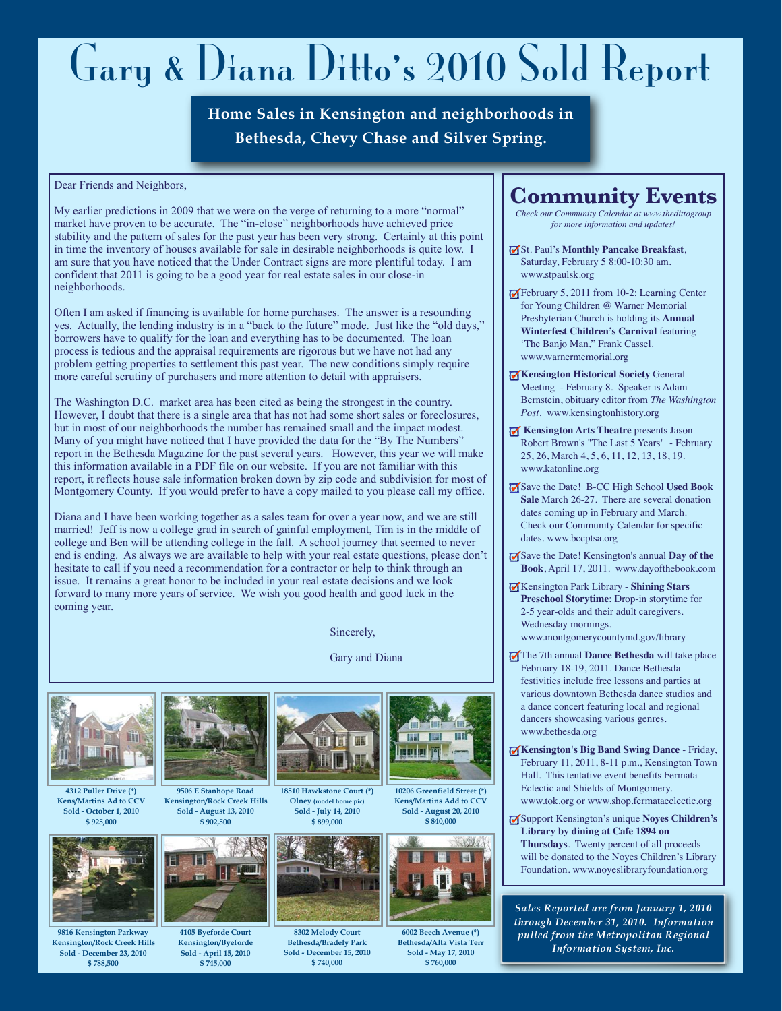## Gary & Diana Ditto' s 2010 Sold Report

**Home Sales in Kensington and neighborhoods in Bethesda, Chevy Chase and Silver Spring.**

Dear Friends and Neighbors,

My earlier predictions in 2009 that we were on the verge of returning to a more "normal" market have proven to be accurate. The "in-close" neighborhoods have achieved price stability and the pattern of sales for the past year has been very strong. Certainly at this point in time the inventory of houses available for sale in desirable neighborhoods is quite low. I am sure that you have noticed that the Under Contract signs are more plentiful today. I am confident that 2011 is going to be a good year for real estate sales in our close-in neighborhoods.

Often I am asked if financing is available for home purchases. The answer is a resounding yes. Actually, the lending industry is in a "back to the future" mode. Just like the "old days," borrowers have to qualify for the loan and everything has to be documented. The loan process is tedious and the appraisal requirements are rigorous but we have not had any problem getting properties to settlement this past year. The new conditions simply require more careful scrutiny of purchasers and more attention to detail with appraisers.

The Washington D.C. market area has been cited as being the strongest in the country. However, I doubt that there is a single area that has not had some short sales or foreclosures, but in most of our neighborhoods the number has remained small and the impact modest. Many of you might have noticed that I have provided the data for the "By The Numbers" report in the Bethesda Magazine for the past several years. However, this year we will make this information available in a PDF file on our website. If you are not familiar with this report, it reflects house sale information broken down by zip code and subdivision for most of Montgomery County. If you would prefer to have a copy mailed to you please call my office.

Diana and I have been working together as a sales team for over a year now, and we are still married! Jeff is now a college grad in search of gainful employment, Tim is in the middle of college and Ben will be attending college in the fall. A school journey that seemed to never end is ending. As always we are available to help with your real estate questions, please don't hesitate to call if you need a recommendation for a contractor or help to think through an issue. It remains a great honor to be included in your real estate decisions and we look forward to many more years of service. We wish you good health and good luck in the coming year.

Sincerely,

**Olney (model home pic) Sold - July 14, 2010 \$ 899,000**

TR

**8302 Melody Court Bethesda/Bradely Park Sold - December 15, 2010 \$ 740,000**

Gary and Diana



**4312 Puller Drive (\*) Kens/Martins Ad to CCV Sold - October 1, 2010 \$ 925,000**



**9816 Kensington Parkway Kensington/Rock Creek Hills Sold - December 23, 2010 \$ 788,500**



**9506 E Stanhope Road Kensington/Rock Creek Hills Sold - August 13, 2010 \$ 902,500**



**4105 Byeforde Court Kensington/Byeforde Sold - April 15, 2010 \$ 745,000**



**10206 Greenfield Street (\*) Kens/Martins Add to CCV Sold - August 20, 2010 \$ 840,000**

m



**6002 Beech Avenue (\*) Bethesda/Alta Vista Terr Sold - May 17, 2010 \$ 760,000**

## **Community Events**

*Check our Community Calendar at www.thedittogroup for more information and updates!*

- St. Paul's **Monthly Pancake Breakfast**, Saturday, February 5 8:00-10:30 am. www.stpaulsk.org
- February 5, 2011 from 10-2: Learning Center for Young Children @ Warner Memorial Presbyterian Church is holding its **Annual Winterfest Children's Carnival** featuring 'The Banjo Man," Frank Cassel. www.warnermemorial.org
- **Kensington Historical Society General** Meeting - February 8. Speaker is Adam Bernstein, obituary editor from *The Washington Post*. www.kensingtonhistory.org
- **Kensington Arts Theatre** presents Jason Robert Brown's "The Last 5 Years" - February 25, 26, March 4, 5, 6, 11, 12, 13, 18, 19. www.katonline.org
- Save the Date! B-CC High School **Used Book Sale** March 26-27. There are several donation dates coming up in February and March. Check our Community Calendar for specific dates. www.bccptsa.org
- Save the Date! Kensington's annual **Day of the Book**, April 17, 2011. www.dayofthebook.com
- Kensington Park Library **Shining Stars Preschool Storytime**: Drop-in storytime for 2-5 year-olds and their adult caregivers. Wednesday mornings. www.montgomerycountymd.gov/library
- The 7th annual **Dance Bethesda** will take place February 18-19, 2011. Dance Bethesda festivities include free lessons and parties at various downtown Bethesda dance studios and a dance concert featuring local and regional dancers showcasing various genres. www.bethesda.org
- **Kensington's Big Band Swing Dance** Friday, February 11, 2011, 8-11 p.m., Kensington Town Hall. This tentative event benefits Fermata Eclectic and Shields of Montgomery. www.tok.org or www.shop.fermataeclectic.org
- Support Kensington's unique **Noyes Children's Library by dining at Cafe 1894 on Thursdays**. Twenty percent of all proceeds will be donated to the Noyes Children's Library Foundation. www.noyeslibraryfoundation.org

*Sales Reported are from January 1, 2010 through December 31, 2010. Information pulled from the Metropolitan Regional Information System, Inc.*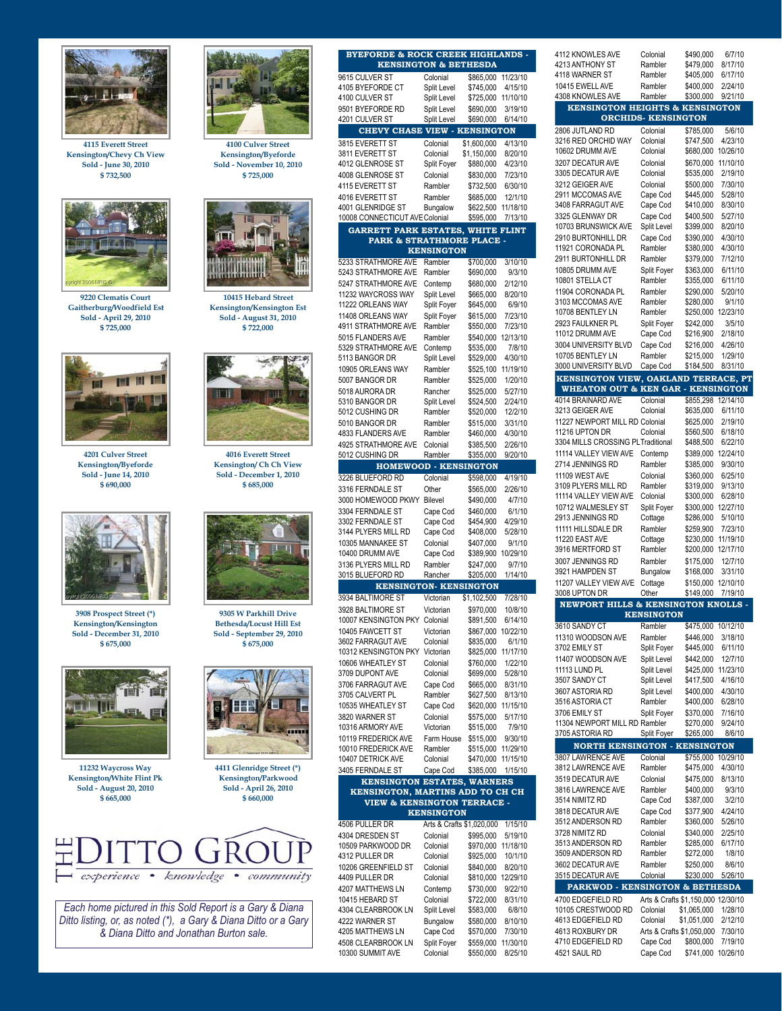

**4115 Everett Street Kensington/Chevy Ch View Sold - June 30, 2010 \$ 732,500**



**9220 Clematis Court Gaitherburg/Woodfield Est Sold - April 29, 2010 \$ 725,000**



**4201 Culver Street Kensington/Byeforde Sold - June 14, 2010 \$ 690,000**



**3908 Prospect Street (\*) Kensington/Kensington Sold - December 31, 2010 \$ 675,000**



**11232 Waycross Way Kensington/White Flint Pk Sold - August 20, 2010 \$ 665,000**



**Kensington/Byeforde Sold - November 10, 2010 \$ 725,000**



**Kensington/Kensington Est Sold - August 31, 2010 \$ 722,000**



**4016 Everett Street Kensington/ Ch Ch View Sold - December 1, 2010 \$ 685,000**



**9305 W Parkhill Drive Bethesda/Locust Hill Est Sold - September 29, 2010 \$ 675,000**



**4411 Glenridge Street (\*) Kensington/Parkwood Sold - April 26, 2010 \$ 660,000**



*Each home pictured in this Sold Report is a Gary & Diana Ditto listing, or, as noted (\*), a Gary & Diana Ditto or a Gary & Diana Ditto and Jonathan Burton sale.*

| <b>BYEFORDE &amp; ROCK CREEK HIGHLANDS -</b><br><b>KENSINGTON &amp; BETHESDA</b> |                         |                           |                     |
|----------------------------------------------------------------------------------|-------------------------|---------------------------|---------------------|
| 9615 CULVER ST                                                                   | Colonial                | \$865,000                 | 11/23/10            |
| 4105 BYEFORDE CT                                                                 | Split Level             | \$745,000                 | 4/15/10             |
| 4100 CULVER ST                                                                   | Split Level             | \$725,000                 | 11/10/10            |
| 9501 BYEFORDE RD                                                                 | Split Level             | \$690,000                 | 3/19/10             |
| 4201 CULVER ST<br>CHEVY CHASE VIEW - KENSINGTON                                  | Split Level             | \$690,000                 | 6/14/10             |
| 3815 EVERETT ST                                                                  | Colonial                | \$1,600,000               | 4/13/10             |
| 3811 EVERETT ST                                                                  | Colonial                | \$1,150,000               | 8/20/10             |
| 4012 GLENROSE ST                                                                 | Split Foyer             | \$880,000                 | 4/23/10             |
| 4008 GLENROSE ST                                                                 | Colonial                | \$830,000                 | 7/23/10             |
| 4115 EVERETT ST                                                                  | Rambler                 | \$732,500                 | 6/30/10             |
| 4016 EVERETT ST<br>4001 GLENRIDGE ST                                             | Rambler                 | \$685.000                 | 12/1/10<br>11/18/10 |
| 10008 CONNECTICUT AVE Colonial                                                   | Bungalow                | \$622,500<br>\$595,000    | 7/13/10             |
| <b>GARRETT PARK ESTATES, WHITE FLINT</b>                                         |                         |                           |                     |
| <b>PARK &amp; STRATHMORE PLACE</b>                                               |                         |                           |                     |
|                                                                                  | <b>KENSINGTON</b>       |                           |                     |
| <b>5233 STRATHMORE AVE</b><br>5243 STRATHMORE AVE                                | Rambler<br>Rambler      | \$700,000<br>\$690,000    | 3/10/10<br>9/3/10   |
| 5247 STRATHMORE AVE                                                              | Contemp                 | \$680,000                 | 2/12/10             |
| 11232 WAYCROSS WAY                                                               | Split Level             | \$665,000                 | 8/20/10             |
| 11222 ORLEANS WAY                                                                | Split Foyer             | \$645,000                 | 6/9/10              |
| 11408 ORLEANS WAY                                                                | Split Foyer             | \$615,000                 | 7/23/10             |
| 4911 STRATHMORE AVE                                                              | Rambler                 | \$550.000                 | 7/23/10             |
| 5015 FLANDERS AVE<br>5329 STRATHMORE AVE                                         | Rambler<br>Contemp      | \$540.000<br>\$535,000    | 12/13/10<br>7/8/10  |
| 5113 BANGOR DR                                                                   | Split Level             | \$529,000                 | 4/30/10             |
| 10905 ORLEANS WAY                                                                | Rambler                 | \$525,100                 | 11/19/10            |
| 5007 BANGOR DR                                                                   | Rambler                 | \$525,000                 | 1/20/10             |
| 5018 AURORA DR                                                                   | Rancher                 | \$525,000                 | 5/27/10             |
| 5310 BANGOR DR<br>5012 CUSHING DR                                                | Split Level<br>Rambler  | \$524,500<br>\$520,000    | 2/24/10<br>12/2/10  |
| 5010 BANGOR DR                                                                   | Rambler                 | \$515,000                 | 3/31/10             |
| 4833 FLANDERS AVE                                                                | Rambler                 | \$460,000                 | 4/30/10             |
| <b>4925 STRATHMORE AVE</b>                                                       | Colonial                | \$385,500                 | 2/26/10             |
| 5012 CUSHING DR                                                                  | Rambler                 | \$355,000                 | 9/20/10             |
| <b>HOMEWOOD - KENSINGTON</b>                                                     |                         |                           |                     |
| 3226 BLUEFORD RD<br>3316 FERNDALE ST                                             | Colonial<br>Other       | \$598,000<br>\$565,000    | 4/19/10<br>2/26/10  |
| 3000 HOMEWOOD PKWY                                                               | <b>Bilevel</b>          | \$490,000                 | 4/7/10              |
| 3304 FERNDALE ST                                                                 | Cape Cod                | \$460,000                 | 6/1/10              |
| 3302 FERNDALE ST                                                                 | Cape Cod                | \$454,900                 | 4/29/10             |
|                                                                                  |                         |                           |                     |
| 3144 PLYERS MILL RD                                                              | Cape Cod                | \$408,000                 | 5/28/10             |
| 10305 MANNAKEE ST                                                                | Colonial                | \$407,000                 | 9/1/10              |
| 10400 DRUMM AVE<br>3136 PLYERS MILL RD                                           | Cape Cod<br>Rambler     | \$389,900<br>\$247,000    | 10/29/10<br>9/7/10  |
| 3015 BLUEFORD RD                                                                 | Rancher                 | \$205,000                 | 1/14/10             |
| <b>KENSINGTON- KENSINGTON</b>                                                    |                         |                           |                     |
| 3934 BALTIMORE ST                                                                | Victorian               | \$1,102,500               | 7/28/10             |
| 3928 BALTIMORE ST                                                                | Victorian               | \$970,000                 | 10/8/10             |
| 10007 KENSINGTON PKY                                                             | Colonial                | \$891,500                 | 6/14/10             |
| 10405 FAWCETT ST<br>3602 FARRAGUT AVE                                            | Victorian<br>Colonial   | \$867,000<br>\$835,000    | 10/22/10<br>6/1/10  |
| 10312 KENSINGTON PKY                                                             | Victorian               | \$825,000                 | 11/17/10            |
| 10606 WHEATLEY ST                                                                | Colonial                | \$760,000                 | 1/22/10             |
| 3709 DUPONT AVE                                                                  | Colonial                | \$699,000                 | 5/28/10             |
| 3706 FARRAGUT AVE                                                                | Cape Cod                | \$665,000                 | 8/31/10             |
| 3705 CALVERT PL<br>10535 WHEATLEY ST                                             | Rambler<br>Cape Cod     | \$627,500<br>\$620,000    | 8/13/10<br>11/15/10 |
| 3820 WARNER ST                                                                   | Colonial                | \$575.000                 | 5/17/10             |
| 10316 ARMORY AVE                                                                 | Victorian               | \$515,000                 | 7/9/10              |
| 10119 FREDERICK AVE                                                              | Farm House              | \$515,000                 | 9/30/10             |
| 10010 FREDERICK AVE                                                              | Rambler                 | \$515,000                 | 11/29/10            |
| 10407 DETRICK AVE<br>3405 FERNDALE ST                                            | Colonial<br>Cape Cod    | \$470,000<br>\$385,000    | 11/15/10<br>1/15/10 |
| <b>KENSINGTON ESTATES, WARNERS</b>                                               |                         |                           |                     |
| KENSINGTON, MARTINS ADD TO CH CH                                                 |                         |                           |                     |
| <b>VIEW &amp; KENSINGTON TERRACE -</b>                                           |                         |                           |                     |
| 4506 PULLER DR                                                                   | <b>KENSINGTON</b>       | Arts & Crafts \$1,020,000 | 1/15/10             |
| 4304 DRESDEN ST                                                                  | Colonial                | \$995,000                 | 5/19/10             |
| 10509 PARKWOOD DR                                                                | Colonial                | \$970,000                 | 11/18/10            |
|                                                                                  | Colonial                | \$925,000                 | 10/1/10             |
| 4312 PULLER DR<br>10206 GREENFIELD ST                                            | Colonial                | \$840,000                 | 8/20/10             |
| 4409 PULLER DR<br>4207 MATTHEWS LN                                               | Colonial<br>Contemp     | \$810,000<br>\$730,000    | 12/29/10<br>9/22/10 |
| 10415 HEBARD ST                                                                  | Colonial                | \$722,000                 | 8/31/10             |
| 4304 CLEARBROOK LN                                                               | Split Level             | \$583,000                 | 6/8/10              |
| 4222 WARNER ST                                                                   | Bungalow                | \$580,000                 | 8/10/10             |
| 4205 MATTHEWS LN<br>4508 CLEARBROOK LN                                           | Cape Cod<br>Split Foyer | \$570,000<br>\$559,000    | 7/30/10<br>11/30/10 |

| 4112 KNOWLES AVE                                                                                                                                                                                                                                               | Colonial                           | \$490,000                  | 6/7/10              |
|----------------------------------------------------------------------------------------------------------------------------------------------------------------------------------------------------------------------------------------------------------------|------------------------------------|----------------------------|---------------------|
| 4213 ANTHONY ST                                                                                                                                                                                                                                                | Rambler                            | \$479,000                  | 8/17/10             |
| 4118 WARNER ST<br>10415 EWELL AVE                                                                                                                                                                                                                              | Rambler<br>Rambler                 | \$405,000<br>\$400,000     | 6/17/10<br>2/24/10  |
| 4308 KNOWLES AVE                                                                                                                                                                                                                                               | Rambler                            | \$300,000                  | 9/21/10             |
| <b>KENSINGTON HEIGHTS &amp; KENSINGTON</b>                                                                                                                                                                                                                     |                                    |                            |                     |
|                                                                                                                                                                                                                                                                | <b>ORCHIDS- KENSINGTON</b>         |                            |                     |
| 2806 JUTLAND RD                                                                                                                                                                                                                                                | Colonial                           | \$785,000                  | 5/6/10              |
| 3216 RED ORCHID WAY                                                                                                                                                                                                                                            | Colonial                           | \$747,500                  | 4/23/10             |
| 10602 DRUMM AVE                                                                                                                                                                                                                                                | Colonial                           | \$680,000                  | 10/26/10            |
| 3207 DECATUR AVE                                                                                                                                                                                                                                               | Colonial                           | \$670,000                  | 11/10/10            |
| 3305 DECATUR AVE<br>3212 GEIGER AVE                                                                                                                                                                                                                            | Colonial                           | \$535,000                  | 2/19/10             |
| 2911 MCCOMAS AVE                                                                                                                                                                                                                                               | Colonial<br>Cape Cod               | \$500,000<br>\$445.000     | 7/30/10<br>5/28/10  |
| 3408 FARRAGUT AVE                                                                                                                                                                                                                                              | Cape Cod                           | \$410,000                  | 8/30/10             |
| 3325 GLENWAY DR                                                                                                                                                                                                                                                | Cape Cod                           | \$400,500                  | 5/27/10             |
| 10703 BRUNSWICK AVE                                                                                                                                                                                                                                            | Split Level                        | \$399,000                  | 8/20/10             |
| 2910 BURTONHILL DR                                                                                                                                                                                                                                             | Cape Cod                           | \$390,000                  | 4/30/10             |
| 11921 CORONADA PL                                                                                                                                                                                                                                              | Rambler                            | \$380,000                  | 4/30/10             |
| 2911 BURTONHILL DR                                                                                                                                                                                                                                             | Rambler                            | \$379,000                  | 7/12/10             |
| 10805 DRUMM AVE<br>10801 STELLA CT                                                                                                                                                                                                                             | Split Foyer<br>Rambler             | \$363,000<br>\$355,000     | 6/11/10<br>6/11/10  |
| 11904 CORONADA PL                                                                                                                                                                                                                                              | Rambler                            | \$290,000                  | 5/20/10             |
| 3103 MCCOMAS AVE                                                                                                                                                                                                                                               | Rambler                            | \$280,000                  | 9/1/10              |
| 10708 BENTLEY LN                                                                                                                                                                                                                                               | Rambler                            | \$250,000                  | 12/23/10            |
| 2923 FAULKNER PL                                                                                                                                                                                                                                               | Split Foyer                        | \$242,000                  | 3/5/10              |
| 11012 DRUMM AVE                                                                                                                                                                                                                                                | Cape Cod                           | \$216,900                  | 2/18/10             |
| 3004 UNIVERSITY BLVD                                                                                                                                                                                                                                           | Cape Cod                           | \$216,000                  | 4/26/10             |
| 10705 BENTLEY LN                                                                                                                                                                                                                                               | Rambler                            | \$215,000                  | 1/29/10<br>8/31/10  |
| 3000 UNIVERSITY BLVD<br>KENSINGTON VIEW, OAKLAND TERRACE, PT                                                                                                                                                                                                   | Cape Cod                           | \$184,500                  |                     |
| <b>WHEATON OUT &amp; KEN GAR - KENSINGTON</b>                                                                                                                                                                                                                  |                                    |                            |                     |
| 4014 BRAINARD AVE                                                                                                                                                                                                                                              | Colonial                           | \$855,298                  | 12/14/10            |
| 3213 GEIGER AVE                                                                                                                                                                                                                                                | Colonial                           | \$635,000                  | 6/11/10             |
| 11227 NEWPORT MILL RD Colonial                                                                                                                                                                                                                                 |                                    | \$625,000                  | 2/19/10             |
| 11216 UPTON DR                                                                                                                                                                                                                                                 | Colonial                           | \$560,500                  | 6/18/10             |
| 3304 MILLS CROSSING PL Traditional<br>11114 VALLEY VIEW AVE                                                                                                                                                                                                    |                                    | \$488,500                  | 6/22/10             |
| 2714 JENNINGS RD                                                                                                                                                                                                                                               | Contemp<br>Rambler                 | \$389,000<br>\$385,000     | 12/24/10<br>9/30/10 |
| 11109 WEST AVE                                                                                                                                                                                                                                                 | Colonial                           | \$360,000                  | 6/25/10             |
| 3109 PLYERS MILL RD                                                                                                                                                                                                                                            | Rambler                            | \$319,000                  | 9/13/10             |
| 11114 VALLEY VIEW AVE                                                                                                                                                                                                                                          | Colonial                           | \$300,000                  | 6/28/10             |
| 10712 WALMESLEY ST                                                                                                                                                                                                                                             | Split Foyer                        | \$300,000                  | 12/27/10            |
| 2913 JENNINGS RD                                                                                                                                                                                                                                               | Cottage                            | \$286,000                  | 5/10/10             |
| 11111 HILLSDALE DR<br>11220 EAST AVE                                                                                                                                                                                                                           | Rambler<br>Cottage                 | \$259,900<br>\$230,000     | 7/23/10<br>11/19/10 |
| 3916 MERTFORD ST                                                                                                                                                                                                                                               | Rambler                            | \$200,000                  | 12/17/10            |
| 3007 JENNINGS RD                                                                                                                                                                                                                                               | Rambler                            | \$175.000                  | 12/7/10             |
| 3921 HAMPDEN ST                                                                                                                                                                                                                                                | Bungalow                           | \$168,000                  | 3/31/10             |
|                                                                                                                                                                                                                                                                |                                    |                            |                     |
|                                                                                                                                                                                                                                                                | Cottage                            | \$150,000                  | 12/10/10            |
|                                                                                                                                                                                                                                                                | Other                              | \$149,000                  | 7/19/10             |
| <b>NEWPORT HILLS &amp; KENSINGTON KNOLLS -</b>                                                                                                                                                                                                                 |                                    |                            |                     |
|                                                                                                                                                                                                                                                                | <b>KENSINGTON</b>                  |                            |                     |
|                                                                                                                                                                                                                                                                | Rambler                            | \$475,000                  | 10/12/10            |
|                                                                                                                                                                                                                                                                | Rambler<br>Split Foyer             | \$446,000<br>\$445,000     | 3/18/10<br>6/11/10  |
|                                                                                                                                                                                                                                                                | Split Level                        | \$442,000                  | 12/7/10             |
| 11207 VALLEY VIEW AVE<br>11310 WOODSON AVE<br>11407 WOODSON AVE<br><b>11113 LUND PL</b>                                                                                                                                                                        | Split Level                        | \$425,000                  | 11/23/10            |
|                                                                                                                                                                                                                                                                | Split Level                        | \$417,500                  | 4/16/10             |
|                                                                                                                                                                                                                                                                | Split Level                        | \$400,000                  | 4/30/10             |
|                                                                                                                                                                                                                                                                | Rambler                            | \$400,000                  | 6/28/10             |
| 3008 UPTON DR<br>3610 SANDY CT<br>3702 EMILY ST<br>3507 SANDY CT<br>3607 ASTORIA RD<br>3516 ASTORIA CT<br>3706 EMILY ST<br>11304 NEWPORT MILL RD Rambler                                                                                                       | Split Foyer                        | \$370,000<br>\$270,000     | 7/16/10<br>9/24/10  |
|                                                                                                                                                                                                                                                                | Split Foyer                        | \$265,000                  | 8/6/10              |
| <b>NORTH KENSINGTON - KENSINGTON</b>                                                                                                                                                                                                                           |                                    |                            |                     |
|                                                                                                                                                                                                                                                                | Colonial                           | \$755,000 10/29/10         |                     |
|                                                                                                                                                                                                                                                                | Rambler                            | \$475,000                  | 4/30/10             |
|                                                                                                                                                                                                                                                                | Colonial                           | \$475,000                  | 8/13/10             |
|                                                                                                                                                                                                                                                                | Rambler                            | \$400,000                  | 9/3/10              |
|                                                                                                                                                                                                                                                                | Cape Cod                           | \$387,000                  | 3/2/10              |
|                                                                                                                                                                                                                                                                | Cape Cod<br>Rambler                | \$377,900<br>\$360,000     | 4/24/10<br>5/26/10  |
|                                                                                                                                                                                                                                                                | Colonial                           | \$340,000                  | 2/25/10             |
|                                                                                                                                                                                                                                                                | Rambler                            | \$285,000                  | 6/17/10             |
|                                                                                                                                                                                                                                                                | Rambler                            | \$272,000                  | 1/8/10              |
|                                                                                                                                                                                                                                                                | Rambler                            | \$250,000                  | 8/6/10              |
| 3705 ASTORIA RD<br>3807 LAWRENCE AVE<br>3812 LAWRENCE AVE<br>3519 DECATUR AVE<br>3816 LAWRENCE AVE<br>3514 NIMITZ RD<br>3818 DECATUR AVE<br>3512 ANDERSON RD<br>3728 NIMITZ RD<br>3513 ANDERSON RD<br>3509 ANDERSON RD<br>3602 DECATUR AVE<br>3515 DECATUR AVE | Colonial                           | \$230,000                  | 5/26/10             |
| PARKWOD - KENSINGTON & BETHESDA                                                                                                                                                                                                                                |                                    |                            |                     |
| 4700 EDGEFIELD RD                                                                                                                                                                                                                                              | Arts & Crafts \$1,150,000 12/30/10 |                            |                     |
|                                                                                                                                                                                                                                                                | Colonial<br>Colonial               | \$1,065,000<br>\$1,051,000 | 1/28/10<br>2/12/10  |
| 10105 CRESTWOOD RD<br>4613 EDGEFIELD RD<br>4613 ROXBURY DR                                                                                                                                                                                                     | Arts & Crafts \$1,050,000          |                            | 7/30/10             |
|                                                                                                                                                                                                                                                                | Cape Cod                           | \$800,000                  | 7/19/10             |
| 4710 EDGEFIELD RD<br>4521 SAUL RD                                                                                                                                                                                                                              | Cape Cod                           | \$741,000                  | 10/26/10            |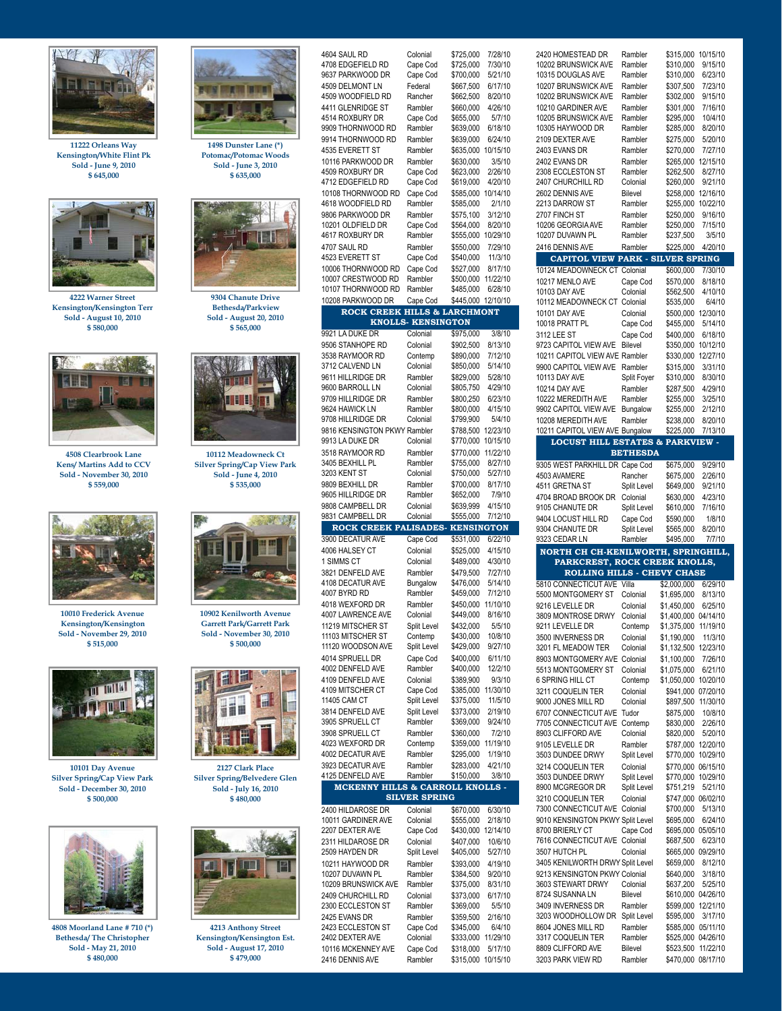

**11222 Orleans Way Kensington/White Flint Pk Sold - June 9, 2010 \$ 645,000**



**4222 Warner Street Kensington/Kensington Terr Sold - August 10, 2010 \$ 580,000**



**4508 Clearbrook Lane Kens/ Martins Add to CCV Sold - November 30, 2010 \$ 559,000**



**10010 Frederick Avenue Kensington/Kensington Sold - November 29, 2010 \$ 515,000**



**10101 Day Avenue Silver Spring/Cap View Park Sold - December 30, 2010 \$ 500,000**



**4808 Moorland Lane # 710 (\*) Bethesda/ The Christopher Sold - May 21, 2010 \$ 480,000**



**1498 Dunster Lane (\*) Potomac/Potomac Woods Sold - June 3, 2010 \$ 635,000**



**9304 Chanute Drive Bethesda/Parkview Sold - August 20, 2010 \$ 565,000**



**10112 Meadowneck Ct Silver Spring/Cap View Park Sold - June 4, 2010 \$ 535,000**



**10902 Kenilworth Avenue Garrett Park/Garrett Park Sold - November 30, 2010 \$ 500,000**



**2127 Clark Place Silver Spring/Belvedere Glen Sold - July 16, 2010 \$ 480,000**



**4213 Anthony Street Kensington/Kensington Est. Sold - August 17, 2010 \$ 479,000**

| 4604 SAUL RD                                    | Colonial                  | \$725,000              | 7/28/10              |
|-------------------------------------------------|---------------------------|------------------------|----------------------|
| 4708 EDGEFIELD RD                               | Cape Cod                  | \$725,000              | 7/30/10              |
| 9637 PARKWOOD DR                                | Cape Cod                  | \$700,000              | 5/21/10              |
| 4509 DELMONT LN                                 | Federal                   | \$667.500              | 6/17/10              |
| 4509 WOODFIELD RD<br>4411 GLENRIDGE ST          | Rancher                   | \$662,500              | 8/20/10              |
| 4514 ROXBURY DR                                 | Rambler<br>Cape Cod       | \$660,000<br>\$655.000 | 4/26/10<br>5/7/10    |
| 9909 THORNWOOD RD                               | Rambler                   | \$639,000              | 6/18/10              |
| 9914 THORNWOOD RD                               | Rambler                   | \$639,000              | 6/24/10              |
| 4535 EVERETT ST                                 | Rambler                   | \$635,000              | 10/15/10             |
| 10116 PARKWOOD DR                               | Rambler                   | \$630,000              | 3/5/10               |
| 4509 ROXBURY DR                                 | Cape Cod                  | \$623,000              | 2/26/10              |
| 4712 EDGEFIELD RD                               | Cape Cod                  | \$619,000              | 4/20/10              |
| 10108 THORNWOOD RD                              | Cape Cod                  | \$585,000              | 10/14/10             |
| 4618 WOODFIELD RD                               | Rambler                   | \$585,000              | 2/1/10               |
| 9806 PARKWOOD DR<br>10201 OLDFIELD DR           | Rambler<br>Cape Cod       | \$575,100<br>\$564,000 | 3/12/10<br>8/20/10   |
| 4617 ROXBURY DR                                 | Rambler                   | \$555,000              | 10/29/10             |
| 4707 SAUL RD                                    | Rambler                   | \$550,000              | 7/29/10              |
| 4523 EVERETT ST                                 | Cape Cod                  | \$540,000              | 11/3/10              |
| 10006 THORNWOOD RD                              | Cape Cod                  | \$527,000              | 8/17/10              |
| 10007 CRESTWOOD RD                              | Rambler                   | \$500,000              | 11/22/10             |
| 10107 THORNWOOD RD                              | Rambler                   | \$485,000              | 6/28/10              |
| 10208 PARKWOOD DR                               | Cape Cod                  | \$445,000              | 12/10/10             |
| ROCK CREEK HILLS & LARCHMONT                    | <b>KNOLLS- KENSINGTON</b> |                        |                      |
| 9921 LA DUKE DR                                 | Colonial                  | \$975,000              | 3/8/10               |
| 9506 STANHOPE RD                                | Colonial                  | \$902,500              | 8/13/10              |
| 3538 RAYMOOR RD                                 | Contemp                   | \$890.000              | 7/12/10              |
| 3712 CALVEND LN                                 | Colonial                  | \$850,000              | 5/14/10              |
| 9611 HILLRIDGE DR                               | Rambler                   | \$829.000              | 5/28/10              |
| 9600 BARROLL LN                                 | Colonial                  | \$805,750              | 4/29/10              |
| 9709 HILLRIDGE DR                               | Rambler                   | \$800,250              | 6/23/10              |
| 9624 HAWICK LN                                  | Rambler                   | \$800,000              | 4/15/10              |
| 9708 HILLRIDGE DR                               | Colonial                  | \$799,900              | 5/4/10               |
| 9816 KENSINGTON PKWY Rambler<br>9913 LA DUKE DR | Colonial                  | \$788,500<br>\$770,000 | 12/23/10<br>10/15/10 |
| 3518 RAYMOOR RD                                 | Rambler                   | \$770,000              | 11/22/10             |
| 3405 BEXHILL PL                                 | Rambler                   | \$755,000              | 8/27/10              |
| 3203 KENT ST                                    | Colonial                  | \$750,000              | 5/27/10              |
| 9809 BEXHILL DR                                 | Rambler                   | \$700,000              | 8/17/10              |
| 9605 HILLRIDGE DR                               | Rambler                   | \$652,000              | 7/9/10               |
|                                                 |                           |                        |                      |
| 9808 CAMPBELL DR                                | Colonial                  | \$639,999              | 4/15/10              |
| 9831 CAMPBELL DR                                | Colonial                  | \$555,000              | 7/12/10              |
| <b>ROCK CREEK PALISADES-</b>                    |                           | <b>KENSINGTON</b>      |                      |
| 3900 DECATUR AVE                                | Cape Cod                  | \$531,000              | 6/22/10              |
| 4006 HALSEY CT                                  | Colonial<br>Colonial      | \$525,000              | 4/15/10              |
| 1 SIMMS CT<br>3821 DENFELD AVE                  | Rambler                   | \$489,000<br>\$479,500 | 4/30/10<br>7/27/10   |
| 4108 DECATUR AVE                                | Bungalow                  | \$476,000              | 5/14/10              |
| 4007 BYRD RD                                    | Rambler                   | \$459,000              | 7/12/10              |
| 4018 WEXFORD DR                                 | Rambler                   | \$450.000              | 11/10/10             |
| 4007 LAWRENCE AVE                               | Colonial                  | \$449,000              | 8/16/10              |
| 11219 MITSCHER ST                               | Split Level               | \$432,000              | 5/5/10               |
| 11103 MITSCHER ST                               | Contemp                   | \$430,000              | 10/8/10              |
| 11120 WOODSON AVE                               | Split Level               | \$429,000              | 9/27/10              |
| 4014 SPRUELL DR<br>4002 DENFELD AVE             | Cape Cod<br>Rambler       | \$400,000<br>\$400,000 | 6/11/10<br>12/2/10   |
| 4109 DENFELD AVE                                | Colonial                  | \$389,900              | 9/3/10               |
| 4109 MITSCHER CT                                | Cape Cod                  | \$385,000              | 11/30/10             |
| 11405 CAM CT                                    | Split Level               | \$375,000              | 11/5/10              |
| 3814 DENFELD AVE                                | Split Level               | \$373,000              | 2/19/10              |
| 3905 SPRUELL CT                                 | Rambler                   | \$369,000              | 9/24/10              |
| 3908 SPRUELL CT                                 | Rambler                   | \$360,000              | 7/2/10               |
| 4023 WEXFORD DR                                 | Contemp<br>Rambler        | \$359,000              | 11/19/10             |
| 4002 DECATUR AVE<br>3923 DECATUR AVE            | Rambler                   | \$295,000<br>\$283,000 | 1/19/10<br>4/21/10   |
| 4125 DENFELD AVE                                | Rambler                   | \$150,000              | 3/8/10               |
| MCKENNY HILLS & CARROLL KNOLLS -                |                           |                        |                      |
|                                                 | <b>SILVER SPRING</b>      |                        |                      |
| 2400 HILDAROSE DR                               | Colonial                  | \$670,000              | 6/30/10              |
| 10011 GARDINER AVE                              | Colonial                  | \$555,000              | 2/18/10              |
| 2207 DEXTER AVE                                 | Cape Cod                  | \$430,000              | 12/14/10             |
| 2311 HILDAROSE DR                               | Colonial                  | \$407,000              | 10/6/10              |
| 2509 HAYDEN DR<br>10211 HAYWOOD DR              | Split Level<br>Rambler    | \$405,000<br>\$393,000 | 5/27/10<br>4/19/10   |
| 10207 DUVAWN PL                                 | Rambler                   | \$384,500              | 9/20/10              |
| 10209 BRUNSWICK AVE                             | Rambler                   | \$375,000              | 8/31/10              |
| 2409 CHURCHILL RD                               | Colonial                  | \$373,000              | 6/17/10              |
| 2300 ECCLESTON ST                               | Rambler                   | \$369,000              | 5/5/10               |
| 2425 EVANS DR                                   | Rambler                   | \$359,500              | 2/16/10              |
| 2423 ECCLESTON ST                               | Cape Cod                  | \$345,000              | 6/4/10               |
| 2402 DEXTER AVE<br>10116 MCKENNEY AVE           | Colonial<br>Cape Cod      | \$333,000<br>\$318,000 | 11/29/10<br>5/17/10  |

| 2420 HOMESTEAD DR                           | Rambler         | \$315,000            | 10/15/10 |
|---------------------------------------------|-----------------|----------------------|----------|
|                                             | Rambler         |                      |          |
| 10202 BRUNSWICK AVE                         |                 | \$310,000            | 9/15/10  |
| 10315 DOUGLAS AVE                           | Rambler         | \$310,000            | 6/23/10  |
| 10207 BRUNSWICK AVE                         | Rambler         | \$307,500            | 7/23/10  |
| 10202 BRUNSWICK AVE                         | Rambler         | \$302,000            | 9/15/10  |
|                                             |                 |                      |          |
| 10210 GARDINER AVE                          | Rambler         | \$301,000            | 7/16/10  |
| 10205 BRUNSWICK AVE                         | Rambler         | \$295,000            | 10/4/10  |
| 10305 HAYWOOD DR                            | Rambler         | \$285,000            | 8/20/10  |
| 2109 DEXTER AVE                             | Rambler         | \$275,000            | 5/20/10  |
|                                             |                 |                      |          |
| 2403 EVANS DR                               | Rambler         | \$270,000            | 7/27/10  |
| 2402 EVANS DR                               | Rambler         | \$265,000            | 12/15/10 |
| 2308 ECCLESTON ST                           | Rambler         | \$262,500            | 8/27/10  |
| 2407 CHURCHILL RD                           | Colonial        | \$260,000            | 9/21/10  |
|                                             |                 |                      |          |
| 2602 DENNIS AVE                             | <b>Bilevel</b>  | \$258,000            | 12/16/10 |
| 2213 DARROW ST                              | Rambler         | \$255,000            | 10/22/10 |
| 2707 FINCH ST                               | Rambler         | \$250,000            | 9/16/10  |
| 10206 GEORGIA AVE                           | Rambler         | \$250,000            | 7/15/10  |
|                                             |                 |                      |          |
| 10207 DUVAWN PL                             | Rambler         | \$237,500            | 3/5/10   |
| 2416 DENNIS AVE                             | Rambler         | \$225,000            | 4/20/10  |
| <b>CAPITOL VIEW PARK - SILVER SPRING</b>    |                 |                      |          |
|                                             |                 |                      |          |
| 10124 MEADOWNECK CT Colonial                |                 | \$600,000            | 7/30/10  |
| 10217 MENLO AVE                             | Cape Cod        | \$570,000            | 8/18/10  |
| 10103 DAY AVE                               | Colonial        | \$562.500            | 4/10/10  |
|                                             |                 |                      |          |
| 10112 MEADOWNECK CT Colonial                |                 | \$535,000            | 6/4/10   |
| 10101 DAY AVE                               | Colonial        | \$500,000            | 12/30/10 |
| 10018 PRATT PL                              | Cape Cod        | \$455,000            | 5/14/10  |
| 3112 LEE ST                                 | Cape Cod        | \$400,000            | 6/18/10  |
|                                             |                 |                      |          |
| 9723 CAPITOL VIEW AVE                       | <b>Bilevel</b>  | \$350,000            | 10/12/10 |
| 10211 CAPITOL VIEW AVE Rambler              |                 | \$330,000            | 12/27/10 |
| 9900 CAPITOL VIEW AVE                       | Rambler         | \$315,000            | 3/31/10  |
| 10113 DAY AVE                               | Split Foyer     | \$310,000            | 8/30/10  |
|                                             |                 |                      |          |
| 10214 DAY AVE                               | Rambler         | \$287,500            | 4/29/10  |
| 10222 MEREDITH AVE                          | Rambler         | \$255,000            | 3/25/10  |
| 9902 CAPITOL VIEW AVE                       | <b>Bungalow</b> | \$255,000            | 2/12/10  |
| 10208 MEREDITH AVE                          |                 |                      |          |
|                                             | Rambler         | \$238,000            | 8/20/10  |
| 10211 CAPITOL VIEW AVE Bungalow             |                 | \$225,000            | 7/13/10  |
| <b>LOCUST HILL ESTATES &amp; PARKVIEW -</b> |                 |                      |          |
|                                             | <b>BETHESDA</b> |                      |          |
|                                             |                 |                      |          |
| 9305 WEST PARKHILL DR Cape Cod              |                 | \$675,000            | 9/29/10  |
| 4503 AVAMERE                                | Rancher         | \$675,000            | 2/26/10  |
| 4511 GRETNA ST                              | Split Level     | \$649,000            | 9/21/10  |
| 4704 BROAD BROOK DR                         |                 |                      |          |
|                                             | Colonial        |                      |          |
|                                             |                 | \$630,000            | 4/23/10  |
| 9105 CHANUTE DR                             | Split Level     | \$610,000            | 7/16/10  |
|                                             |                 |                      |          |
| 9404 LOCUST HILL RD                         | Cape Cod        | \$590,000            | 1/8/10   |
| 9304 CHANUTE DR                             | Split Level     | \$565,000            | 8/20/10  |
| 9323 CEDAR LN                               | Rambler         | \$495,000            | 7/7/10   |
|                                             |                 |                      |          |
| <u>NORTH CH CH-KENILWORTH, SPRINGHILL,</u>  |                 |                      |          |
| PARKCREST, ROCK CREEK KNOLLS,               |                 |                      |          |
| <b>ROLLING HILLS - CHEVY CHASE</b>          |                 |                      |          |
| 5810 CONNECTICUT AVE Villa                  |                 | \$2,000,000          | 6/29/10  |
| 5500 MONTGOMERY ST                          | Colonial        | \$1,695,000          | 8/13/10  |
|                                             |                 |                      |          |
| 9216 LEVELLE DR                             | Colonial        | \$1,450,000          | 6/25/10  |
| 3809 MONTROSE DRWY                          | Colonial        | \$1,400,000 04/14/10 |          |
| 9211 LEVELLE DR                             | Contemp         | \$1,375,000          | 11/19/10 |
| 3500 INVERNESS DR                           | Colonial        | \$1,190,000          | 11/3/10  |
|                                             |                 |                      |          |
| 3201 FL MEADOW TER                          | Colonial        | \$1,132,500          | 12/23/10 |
| 8903 MONTGOMERY AVE                         | Colonial        | \$1,100,000          | 7/26/10  |
| 5513 MONTGOMERY ST                          | Colonial        | \$1,075,000          | 6/21/10  |
| <b>6 SPRING HILL CT</b>                     | Contemp         | \$1,050,000          | 10/20/10 |
|                                             |                 |                      |          |
| 3211 COQUELIN TER                           | Colonial        | \$941.000            | 07/20/10 |
| 9000 JONES MILL RD                          | Colonial        | \$897,500            | 11/30/10 |
| 6707 CONNECTICUT AVE                        | Tudor           | \$875,000            | 10/8/10  |
| 7705 CONNECTICUT AVE                        | Contemp         | \$830,000            | 2/26/10  |
|                                             |                 |                      |          |
| 8903 CLIFFORD AVE                           | Colonial        | \$820,000            | 5/20/10  |
| 9105 LEVELLE DR                             | Rambler         | \$787.000            | 12/20/10 |
| 3503 DUNDEE DRWY                            | Split Level     | \$770,000            | 10/29/10 |
| 3214 COQUELIN TER                           | Colonial        |                      | 06/15/10 |
|                                             |                 | \$770,000            |          |
| 3503 DUNDEE DRWY                            | Split Level     | \$770,000            | 10/29/10 |
| 8900 MCGREGOR DR                            | Split Level     | \$751,219            | 5/21/10  |
| 3210 COQUELIN TER                           | Colonial        | \$747,000 06/02/10   |          |
|                                             |                 |                      |          |
| 7300 CONNECTICUT AVE                        | Colonial        | \$700,000            | 5/13/10  |
| 9010 KENSINGTON PKWY Split Level            |                 | \$695,000            | 6/24/10  |
| 8700 BRIERLY CT                             | Cape Cod        | \$695,000 05/05/10   |          |
| 7616 CONNECTICUT AVE Colonial               |                 | \$687,500            | 6/23/10  |
|                                             |                 |                      |          |
| 3507 HUTCH PL                               | Colonial        | \$665,000 09/29/10   |          |
| 3405 KENILWORTH DRWY Split Level            |                 | \$659,000            | 8/12/10  |
| 9213 KENSINGTON PKWY Colonial               |                 | \$640,000            | 3/18/10  |
|                                             |                 |                      |          |
| 3603 STEWART DRWY                           | Colonial        | \$637,200            | 5/25/10  |
| 8724 SUSANNA LN                             | <b>Bilevel</b>  | \$610,000 04/26/10   |          |
| 3409 INVERNESS DR                           | Rambler         | \$599,000            | 12/21/10 |
| 3203 WOODHOLLOW DR                          |                 | \$595,000            | 3/17/10  |
|                                             | Split Level     |                      |          |
| 8604 JONES MILL RD                          | Rambler         | \$585,000            | 05/11/10 |
| 3317 COQUELIN TER                           | Rambler         | \$525,000            | 04/26/10 |
| 8809 CLIFFORD AVE                           | <b>Bilevel</b>  | \$523,500            | 11/22/10 |